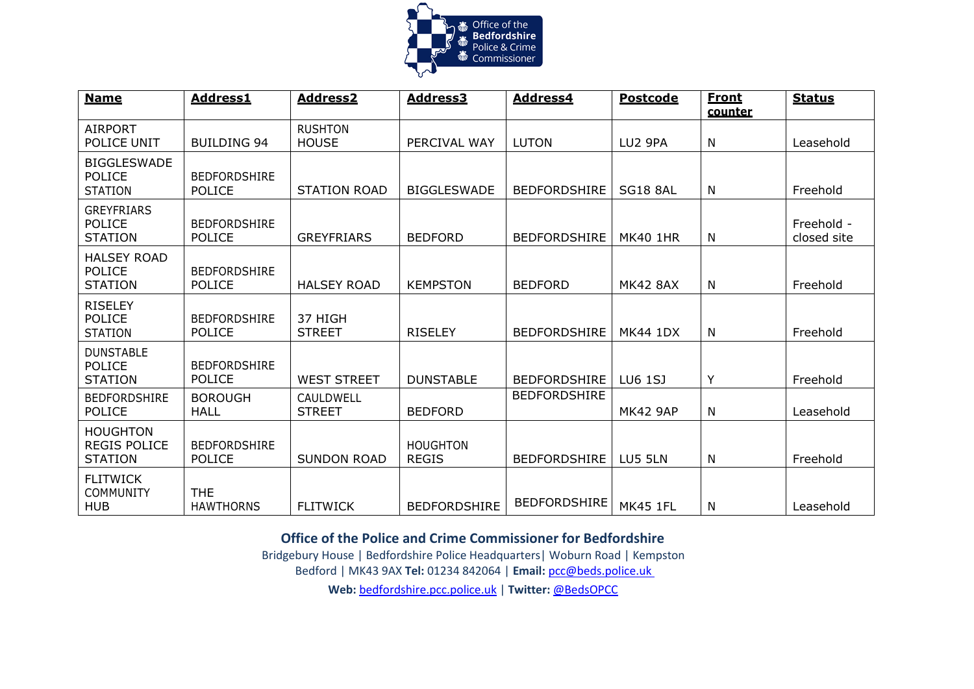

| <b>Name</b>                                              | <b>Address1</b>                      | <b>Address2</b>                | <b>Address3</b>                 | <b>Address4</b>     | <b>Postcode</b> | <b>Front</b><br>counter | <b>Status</b>             |
|----------------------------------------------------------|--------------------------------------|--------------------------------|---------------------------------|---------------------|-----------------|-------------------------|---------------------------|
| <b>AIRPORT</b><br>POLICE UNIT                            | <b>BUILDING 94</b>                   | <b>RUSHTON</b><br><b>HOUSE</b> | PERCIVAL WAY                    | <b>LUTON</b>        | LU2 9PA         | N                       | Leasehold                 |
| <b>BIGGLESWADE</b><br><b>POLICE</b><br><b>STATION</b>    | <b>BEDFORDSHIRE</b><br><b>POLICE</b> | <b>STATION ROAD</b>            | <b>BIGGLESWADE</b>              | <b>BEDFORDSHIRE</b> | <b>SG18 8AL</b> | N                       | Freehold                  |
| <b>GREYFRIARS</b><br><b>POLICE</b><br><b>STATION</b>     | <b>BEDFORDSHIRE</b><br><b>POLICE</b> | <b>GREYFRIARS</b>              | <b>BEDFORD</b>                  | <b>BEDFORDSHIRE</b> | <b>MK40 1HR</b> | N                       | Freehold -<br>closed site |
| <b>HALSEY ROAD</b><br>POLICE<br><b>STATION</b>           | <b>BEDFORDSHIRE</b><br><b>POLICE</b> | <b>HALSEY ROAD</b>             | <b>KEMPSTON</b>                 | <b>BEDFORD</b>      | <b>MK42 8AX</b> | N                       | Freehold                  |
| <b>RISELEY</b><br><b>POLICE</b><br><b>STATION</b>        | <b>BEDFORDSHIRE</b><br><b>POLICE</b> | 37 HIGH<br><b>STREET</b>       | <b>RISELEY</b>                  | <b>BEDFORDSHIRE</b> | <b>MK44 1DX</b> | N                       | Freehold                  |
| <b>DUNSTABLE</b><br><b>POLICE</b><br><b>STATION</b>      | <b>BEDFORDSHIRE</b><br><b>POLICE</b> | <b>WEST STREET</b>             | <b>DUNSTABLE</b>                | <b>BEDFORDSHIRE</b> | LU6 1SJ         | Y                       | Freehold                  |
| <b>BEDFORDSHIRE</b><br><b>POLICE</b>                     | <b>BOROUGH</b><br>HALL               | CAULDWELL<br><b>STREET</b>     | <b>BEDFORD</b>                  | <b>BEDFORDSHIRE</b> | <b>MK42 9AP</b> | N                       | Leasehold                 |
| <b>HOUGHTON</b><br><b>REGIS POLICE</b><br><b>STATION</b> | <b>BEDFORDSHIRE</b><br><b>POLICE</b> | <b>SUNDON ROAD</b>             | <b>HOUGHTON</b><br><b>REGIS</b> | <b>BEDFORDSHIRE</b> | LU5 5LN         | N                       | Freehold                  |
| <b>FLITWICK</b><br><b>COMMUNITY</b><br><b>HUB</b>        | <b>THE</b><br><b>HAWTHORNS</b>       | <b>FLITWICK</b>                | <b>BEDFORDSHIRE</b>             | <b>BEDFORDSHIRE</b> | <b>MK45 1FL</b> | N                       | Leasehold                 |

**Office of the Police and Crime Commissioner for Bedfordshire**

Bridgebury House | Bedfordshire Police Headquarters| Woburn Road | Kempston Bedford | MK43 9AX **Tel:** 01234 842064 | **Email:** [pcc@beds.police.uk](mailto:pcc@beds.police.uk)

**Web:** [bedfordshire.pcc.police.uk](http://www.bedfordshire.pcc.police.uk/) | **Twitter:** [@BedsOPCC](https://twitter.com/BedsPCC)